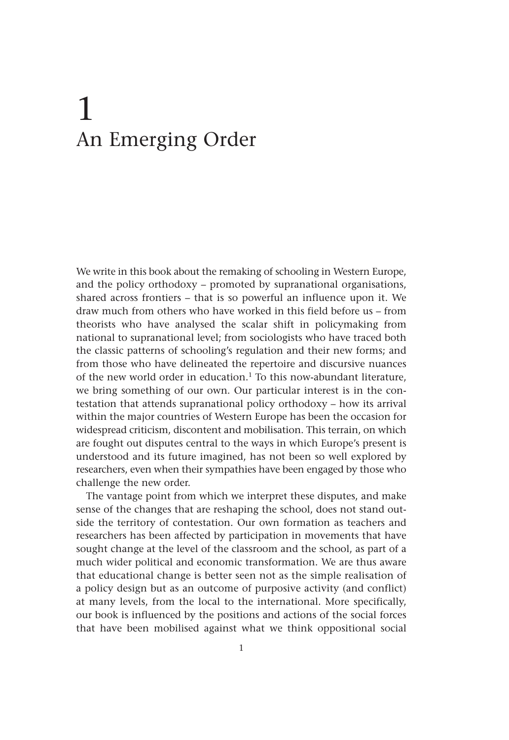# 1 An Emerging Order

We write in this book about the remaking of schooling in Western Europe, and the policy orthodoxy – promoted by supranational organisations, shared across frontiers – that is so powerful an influence upon it. We draw much from others who have worked in this field before us – from theorists who have analysed the scalar shift in policymaking from national to supranational level; from sociologists who have traced both the classic patterns of schooling's regulation and their new forms; and from those who have delineated the repertoire and discursive nuances of the new world order in education.1 To this now-abundant literature, we bring something of our own. Our particular interest is in the contestation that attends supranational policy orthodoxy – how its arrival within the major countries of Western Europe has been the occasion for widespread criticism, discontent and mobilisation. This terrain, on which are fought out disputes central to the ways in which Europe's present is understood and its future imagined, has not been so well explored by researchers, even when their sympathies have been engaged by those who challenge the new order.

The vantage point from which we interpret these disputes, and make sense of the changes that are reshaping the school, does not stand outside the territory of contestation. Our own formation as teachers and researchers has been affected by participation in movements that have sought change at the level of the classroom and the school, as part of a much wider political and economic transformation. We are thus aware that educational change is better seen not as the simple realisation of a policy design but as an outcome of purposive activity (and conflict) at many levels, from the local to the international. More specifically, our book is influenced by the positions and actions of the social forces that have been mobilised against what we think oppositional social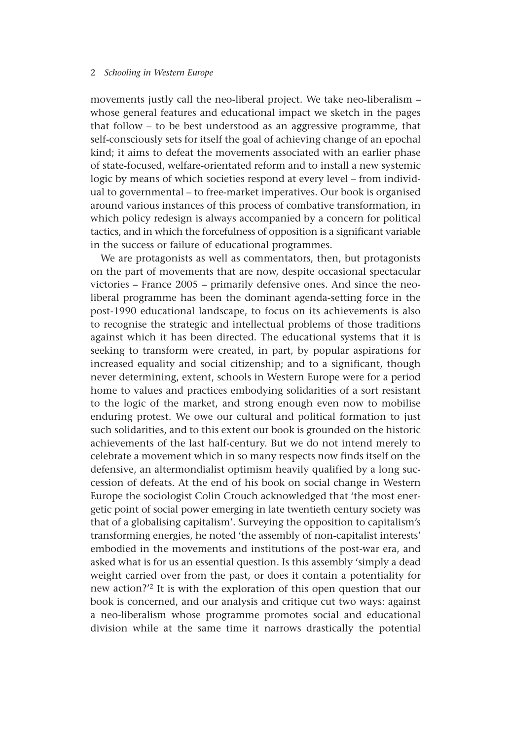movements justly call the neo-liberal project. We take neo-liberalism – whose general features and educational impact we sketch in the pages that follow – to be best understood as an aggressive programme, that self-consciously sets for itself the goal of achieving change of an epochal kind; it aims to defeat the movements associated with an earlier phase of state-focused, welfare-orientated reform and to install a new systemic logic by means of which societies respond at every level – from individual to governmental – to free-market imperatives. Our book is organised around various instances of this process of combative transformation, in which policy redesign is always accompanied by a concern for political tactics, and in which the forcefulness of opposition is a significant variable in the success or failure of educational programmes.

We are protagonists as well as commentators, then, but protagonists on the part of movements that are now, despite occasional spectacular victories – France 2005 – primarily defensive ones. And since the neoliberal programme has been the dominant agenda-setting force in the post-1990 educational landscape, to focus on its achievements is also to recognise the strategic and intellectual problems of those traditions against which it has been directed. The educational systems that it is seeking to transform were created, in part, by popular aspirations for increased equality and social citizenship; and to a significant, though never determining, extent, schools in Western Europe were for a period home to values and practices embodying solidarities of a sort resistant to the logic of the market, and strong enough even now to mobilise enduring protest. We owe our cultural and political formation to just such solidarities, and to this extent our book is grounded on the historic achievements of the last half-century. But we do not intend merely to celebrate a movement which in so many respects now finds itself on the defensive, an altermondialist optimism heavily qualified by a long succession of defeats. At the end of his book on social change in Western Europe the sociologist Colin Crouch acknowledged that 'the most energetic point of social power emerging in late twentieth century society was that of a globalising capitalism'. Surveying the opposition to capitalism's transforming energies, he noted 'the assembly of non-capitalist interests' embodied in the movements and institutions of the post-war era, and asked what is for us an essential question. Is this assembly 'simply a dead weight carried over from the past, or does it contain a potentiality for new action?'2 It is with the exploration of this open question that our book is concerned, and our analysis and critique cut two ways: against a neo-liberalism whose programme promotes social and educational division while at the same time it narrows drastically the potential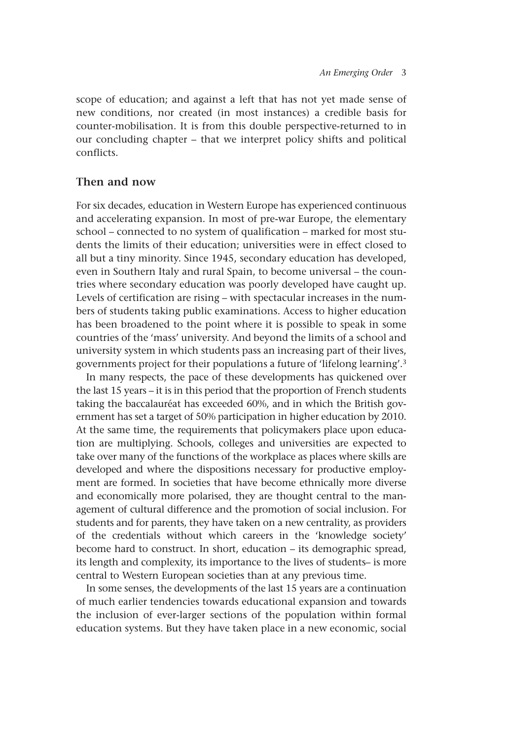scope of education; and against a left that has not yet made sense of new conditions, nor created (in most instances) a credible basis for counter-mobilisation. It is from this double perspective-returned to in our concluding chapter – that we interpret policy shifts and political conflicts.

#### **Then and now**

For six decades, education in Western Europe has experienced continuous and accelerating expansion. In most of pre-war Europe, the elementary school – connected to no system of qualification – marked for most students the limits of their education; universities were in effect closed to all but a tiny minority. Since 1945, secondary education has developed, even in Southern Italy and rural Spain, to become universal – the countries where secondary education was poorly developed have caught up. Levels of certification are rising – with spectacular increases in the numbers of students taking public examinations. Access to higher education has been broadened to the point where it is possible to speak in some countries of the 'mass' university. And beyond the limits of a school and university system in which students pass an increasing part of their lives, governments project for their populations a future of 'lifelong learning'.3

In many respects, the pace of these developments has quickened over the last 15 years – it is in this period that the proportion of French students taking the baccalauréat has exceeded 60%, and in which the British government has set a target of 50% participation in higher education by 2010. At the same time, the requirements that policymakers place upon education are multiplying. Schools, colleges and universities are expected to take over many of the functions of the workplace as places where skills are developed and where the dispositions necessary for productive employment are formed. In societies that have become ethnically more diverse and economically more polarised, they are thought central to the management of cultural difference and the promotion of social inclusion. For students and for parents, they have taken on a new centrality, as providers of the credentials without which careers in the 'knowledge society' become hard to construct. In short, education – its demographic spread, its length and complexity, its importance to the lives of students– is more central to Western European societies than at any previous time.

In some senses, the developments of the last 15 years are a continuation of much earlier tendencies towards educational expansion and towards the inclusion of ever-larger sections of the population within formal education systems. But they have taken place in a new economic, social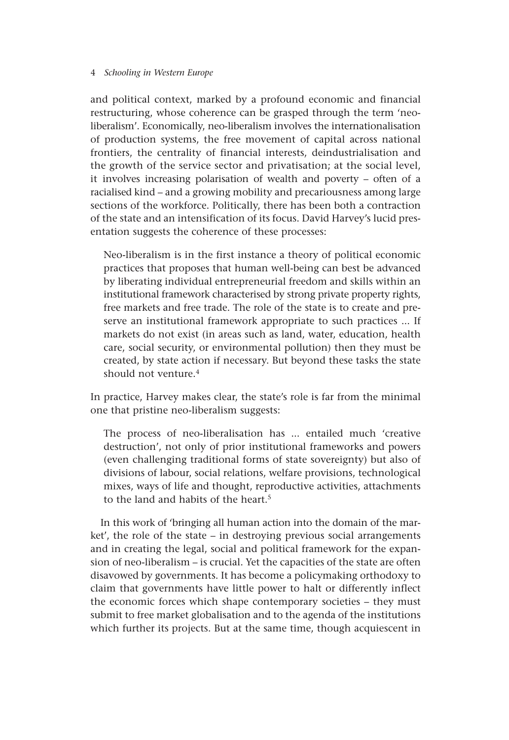and political context, marked by a profound economic and financial restructuring, whose coherence can be grasped through the term 'neoliberalism'. Economically, neo-liberalism involves the internationalisation of production systems, the free movement of capital across national frontiers, the centrality of financial interests, deindustrialisation and the growth of the service sector and privatisation; at the social level, it involves increasing polarisation of wealth and poverty – often of a racialised kind – and a growing mobility and precariousness among large sections of the workforce. Politically, there has been both a contraction of the state and an intensification of its focus. David Harvey's lucid presentation suggests the coherence of these processes:

Neo-liberalism is in the first instance a theory of political economic practices that proposes that human well-being can best be advanced by liberating individual entrepreneurial freedom and skills within an institutional framework characterised by strong private property rights, free markets and free trade. The role of the state is to create and preserve an institutional framework appropriate to such practices ... If markets do not exist (in areas such as land, water, education, health care, social security, or environmental pollution) then they must be created, by state action if necessary. But beyond these tasks the state should not venture.<sup>4</sup>

In practice, Harvey makes clear, the state's role is far from the minimal one that pristine neo-liberalism suggests:

The process of neo-liberalisation has ... entailed much 'creative destruction', not only of prior institutional frameworks and powers (even challenging traditional forms of state sovereignty) but also of divisions of labour, social relations, welfare provisions, technological mixes, ways of life and thought, reproductive activities, attachments to the land and habits of the heart.<sup>5</sup>

In this work of 'bringing all human action into the domain of the market', the role of the state – in destroying previous social arrangements and in creating the legal, social and political framework for the expansion of neo-liberalism – is crucial. Yet the capacities of the state are often disavowed by governments. It has become a policymaking orthodoxy to claim that governments have little power to halt or differently inflect the economic forces which shape contemporary societies – they must submit to free market globalisation and to the agenda of the institutions which further its projects. But at the same time, though acquiescent in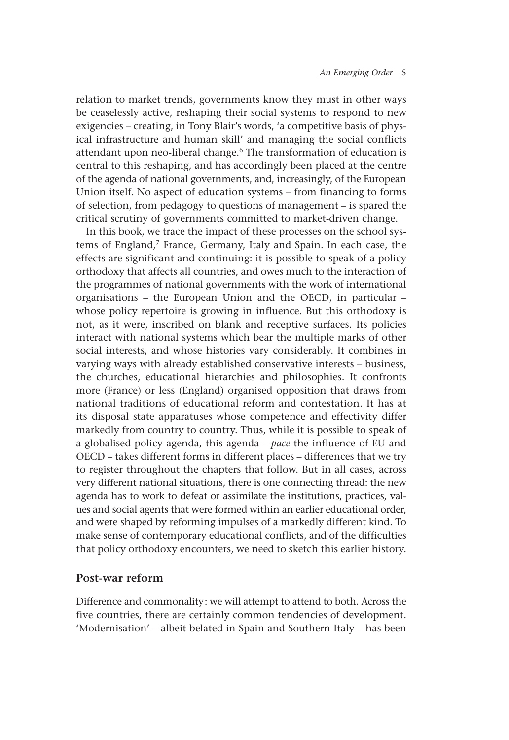relation to market trends, governments know they must in other ways be ceaselessly active, reshaping their social systems to respond to new exigencies – creating, in Tony Blair's words, 'a competitive basis of physical infrastructure and human skill' and managing the social conflicts attendant upon neo-liberal change.<sup>6</sup> The transformation of education is central to this reshaping, and has accordingly been placed at the centre of the agenda of national governments, and, increasingly, of the European Union itself. No aspect of education systems – from financing to forms of selection, from pedagogy to questions of management – is spared the critical scrutiny of governments committed to market-driven change.

In this book, we trace the impact of these processes on the school systems of England,<sup>7</sup> France, Germany, Italy and Spain. In each case, the effects are significant and continuing: it is possible to speak of a policy orthodoxy that affects all countries, and owes much to the interaction of the programmes of national governments with the work of international organisations – the European Union and the OECD, in particular – whose policy repertoire is growing in influence. But this orthodoxy is not, as it were, inscribed on blank and receptive surfaces. Its policies interact with national systems which bear the multiple marks of other social interests, and whose histories vary considerably. It combines in varying ways with already established conservative interests – business, the churches, educational hierarchies and philosophies. It confronts more (France) or less (England) organised opposition that draws from national traditions of educational reform and contestation. It has at its disposal state apparatuses whose competence and effectivity differ markedly from country to country. Thus, while it is possible to speak of a globalised policy agenda, this agenda – *pace* the influence of EU and OECD – takes different forms in different places – differences that we try to register throughout the chapters that follow. But in all cases, across very different national situations, there is one connecting thread: the new agenda has to work to defeat or assimilate the institutions, practices, values and social agents that were formed within an earlier educational order, and were shaped by reforming impulses of a markedly different kind. To make sense of contemporary educational conflicts, and of the difficulties that policy orthodoxy encounters, we need to sketch this earlier history.

#### **Post-war reform**

Difference and commonality: we will attempt to attend to both. Across the five countries, there are certainly common tendencies of development. 'Modernisation' – albeit belated in Spain and Southern Italy – has been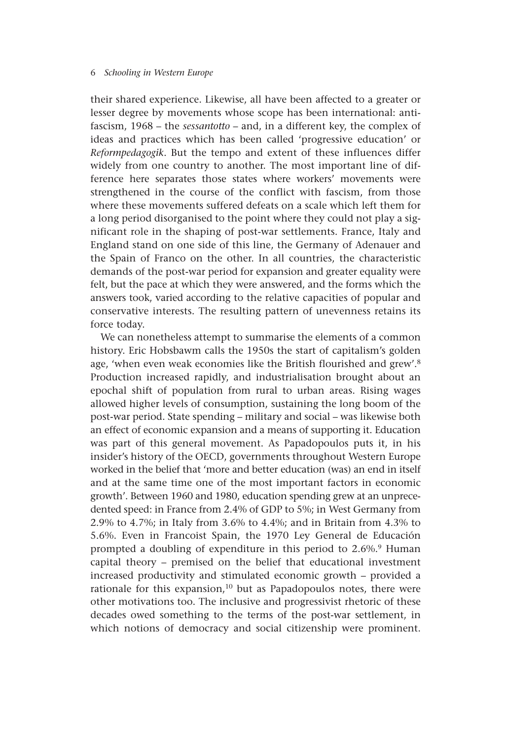their shared experience. Likewise, all have been affected to a greater or lesser degree by movements whose scope has been international: antifascism, 1968 – the *sessantotto* – and, in a different key, the complex of ideas and practices which has been called 'progressive education' or *Reformpedagogik*. But the tempo and extent of these influences differ widely from one country to another. The most important line of difference here separates those states where workers' movements were strengthened in the course of the conflict with fascism, from those where these movements suffered defeats on a scale which left them for a long period disorganised to the point where they could not play a significant role in the shaping of post-war settlements. France, Italy and England stand on one side of this line, the Germany of Adenauer and the Spain of Franco on the other. In all countries, the characteristic demands of the post-war period for expansion and greater equality were felt, but the pace at which they were answered, and the forms which the answers took, varied according to the relative capacities of popular and conservative interests. The resulting pattern of unevenness retains its force today.

We can nonetheless attempt to summarise the elements of a common history. Eric Hobsbawm calls the 1950s the start of capitalism's golden age, 'when even weak economies like the British flourished and grew'.8 Production increased rapidly, and industrialisation brought about an epochal shift of population from rural to urban areas. Rising wages allowed higher levels of consumption, sustaining the long boom of the post-war period. State spending – military and social – was likewise both an effect of economic expansion and a means of supporting it. Education was part of this general movement. As Papadopoulos puts it, in his insider's history of the OECD, governments throughout Western Europe worked in the belief that 'more and better education (was) an end in itself and at the same time one of the most important factors in economic growth'. Between 1960 and 1980, education spending grew at an unprecedented speed: in France from 2.4% of GDP to 5%; in West Germany from 2.9% to 4.7%; in Italy from 3.6% to 4.4%; and in Britain from 4.3% to 5.6%. Even in Francoist Spain, the 1970 Ley General de Educación prompted a doubling of expenditure in this period to 2.6%.<sup>9</sup> Human capital theory – premised on the belief that educational investment increased productivity and stimulated economic growth – provided a rationale for this expansion,<sup>10</sup> but as Papadopoulos notes, there were other motivations too. The inclusive and progressivist rhetoric of these decades owed something to the terms of the post-war settlement, in which notions of democracy and social citizenship were prominent.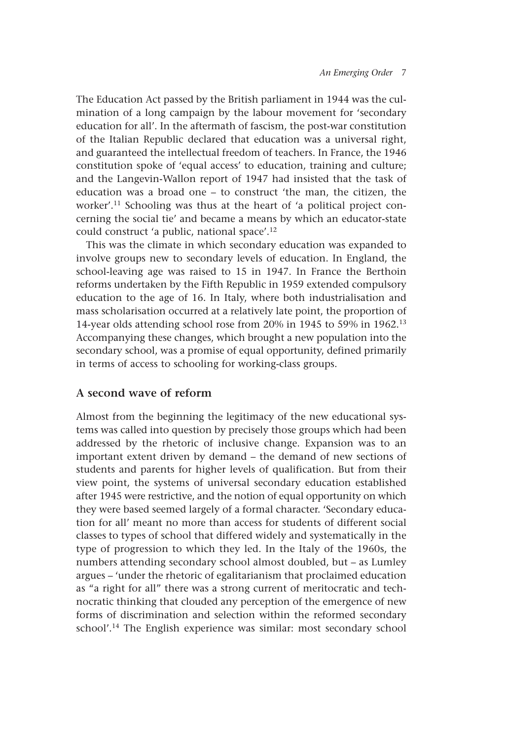The Education Act passed by the British parliament in 1944 was the culmination of a long campaign by the labour movement for 'secondary education for all'. In the aftermath of fascism, the post-war constitution of the Italian Republic declared that education was a universal right, and guaranteed the intellectual freedom of teachers. In France, the 1946 constitution spoke of 'equal access' to education, training and culture; and the Langevin-Wallon report of 1947 had insisted that the task of education was a broad one – to construct 'the man, the citizen, the worker'.11 Schooling was thus at the heart of 'a political project concerning the social tie' and became a means by which an educator-state could construct 'a public, national space'.12

This was the climate in which secondary education was expanded to involve groups new to secondary levels of education. In England, the school-leaving age was raised to 15 in 1947. In France the Berthoin reforms undertaken by the Fifth Republic in 1959 extended compulsory education to the age of 16. In Italy, where both industrialisation and mass scholarisation occurred at a relatively late point, the proportion of 14-year olds attending school rose from 20% in 1945 to 59% in 1962.13 Accompanying these changes, which brought a new population into the secondary school, was a promise of equal opportunity, defined primarily in terms of access to schooling for working-class groups.

## **A second wave of reform**

Almost from the beginning the legitimacy of the new educational systems was called into question by precisely those groups which had been addressed by the rhetoric of inclusive change. Expansion was to an important extent driven by demand – the demand of new sections of students and parents for higher levels of qualification. But from their view point, the systems of universal secondary education established after 1945 were restrictive, and the notion of equal opportunity on which they were based seemed largely of a formal character. 'Secondary education for all' meant no more than access for students of different social classes to types of school that differed widely and systematically in the type of progression to which they led. In the Italy of the 1960s, the numbers attending secondary school almost doubled, but – as Lumley argues – 'under the rhetoric of egalitarianism that proclaimed education as "a right for all" there was a strong current of meritocratic and technocratic thinking that clouded any perception of the emergence of new forms of discrimination and selection within the reformed secondary school'.14 The English experience was similar: most secondary school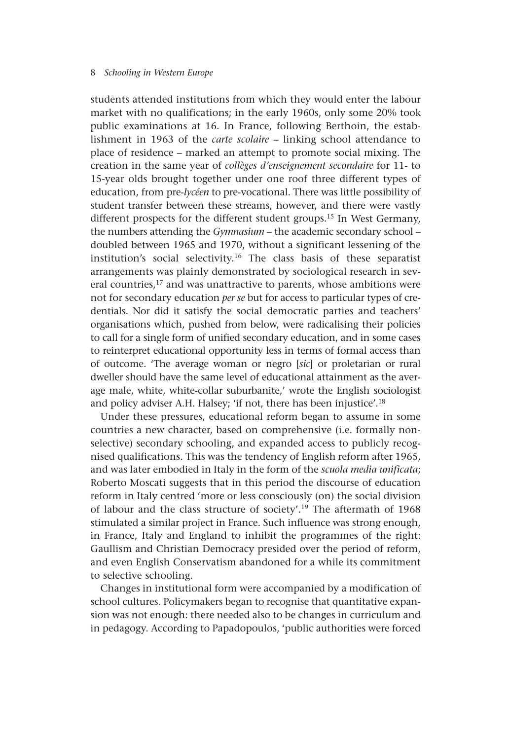students attended institutions from which they would enter the labour market with no qualifications; in the early 1960s, only some 20% took public examinations at 16. In France, following Berthoin, the establishment in 1963 of the *carte scolaire* – linking school attendance to place of residence – marked an attempt to promote social mixing. The creation in the same year of *collèges d'enseignement secondaire* for 11- to 15-year olds brought together under one roof three different types of education, from pre-*lycéen* to pre-vocational. There was little possibility of student transfer between these streams, however, and there were vastly different prospects for the different student groups.<sup>15</sup> In West Germany, the numbers attending the *Gymnasium* – the academic secondary school – doubled between 1965 and 1970, without a significant lessening of the institution's social selectivity.16 The class basis of these separatist arrangements was plainly demonstrated by sociological research in several countries,<sup>17</sup> and was unattractive to parents, whose ambitions were not for secondary education *per se* but for access to particular types of credentials. Nor did it satisfy the social democratic parties and teachers' organisations which, pushed from below, were radicalising their policies to call for a single form of unified secondary education, and in some cases to reinterpret educational opportunity less in terms of formal access than of outcome. 'The average woman or negro [*sic*] or proletarian or rural dweller should have the same level of educational attainment as the average male, white, white-collar suburbanite,' wrote the English sociologist and policy adviser A.H. Halsey; 'if not, there has been injustice'.18

Under these pressures, educational reform began to assume in some countries a new character, based on comprehensive (i.e. formally nonselective) secondary schooling, and expanded access to publicly recognised qualifications. This was the tendency of English reform after 1965, and was later embodied in Italy in the form of the *scuola media unificata*; Roberto Moscati suggests that in this period the discourse of education reform in Italy centred 'more or less consciously (on) the social division of labour and the class structure of society'.19 The aftermath of 1968 stimulated a similar project in France. Such influence was strong enough, in France, Italy and England to inhibit the programmes of the right: Gaullism and Christian Democracy presided over the period of reform, and even English Conservatism abandoned for a while its commitment to selective schooling.

Changes in institutional form were accompanied by a modification of school cultures. Policymakers began to recognise that quantitative expansion was not enough: there needed also to be changes in curriculum and in pedagogy. According to Papadopoulos, 'public authorities were forced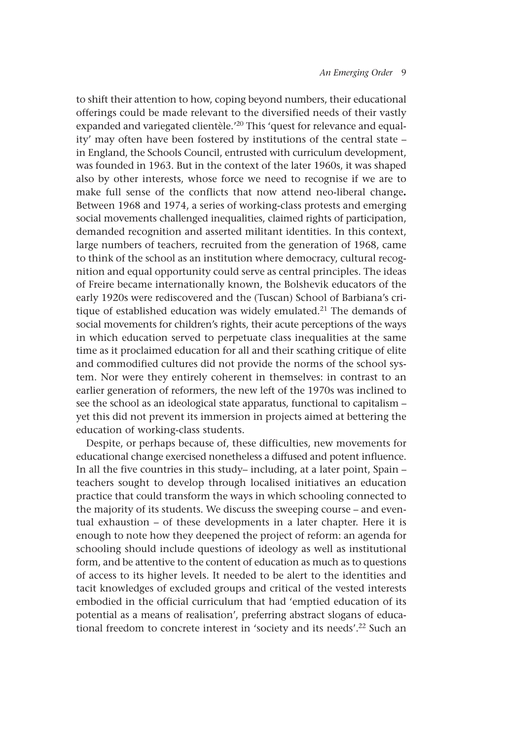to shift their attention to how, coping beyond numbers, their educational offerings could be made relevant to the diversified needs of their vastly expanded and variegated clientèle.'<sup>20</sup> This 'quest for relevance and equality' may often have been fostered by institutions of the central state – in England, the Schools Council, entrusted with curriculum development, was founded in 1963. But in the context of the later 1960s, it was shaped also by other interests, whose force we need to recognise if we are to make full sense of the conflicts that now attend neo-liberal change*.* Between 1968 and 1974, a series of working-class protests and emerging social movements challenged inequalities, claimed rights of participation, demanded recognition and asserted militant identities. In this context, large numbers of teachers, recruited from the generation of 1968, came to think of the school as an institution where democracy, cultural recognition and equal opportunity could serve as central principles. The ideas of Freire became internationally known, the Bolshevik educators of the early 1920s were rediscovered and the (Tuscan) School of Barbiana's critique of established education was widely emulated.<sup>21</sup> The demands of social movements for children's rights, their acute perceptions of the ways in which education served to perpetuate class inequalities at the same time as it proclaimed education for all and their scathing critique of elite and commodified cultures did not provide the norms of the school system. Nor were they entirely coherent in themselves: in contrast to an earlier generation of reformers, the new left of the 1970s was inclined to see the school as an ideological state apparatus, functional to capitalism – yet this did not prevent its immersion in projects aimed at bettering the education of working-class students.

Despite, or perhaps because of, these difficulties, new movements for educational change exercised nonetheless a diffused and potent influence. In all the five countries in this study– including, at a later point, Spain – teachers sought to develop through localised initiatives an education practice that could transform the ways in which schooling connected to the majority of its students. We discuss the sweeping course – and eventual exhaustion – of these developments in a later chapter. Here it is enough to note how they deepened the project of reform: an agenda for schooling should include questions of ideology as well as institutional form, and be attentive to the content of education as much as to questions of access to its higher levels. It needed to be alert to the identities and tacit knowledges of excluded groups and critical of the vested interests embodied in the official curriculum that had 'emptied education of its potential as a means of realisation', preferring abstract slogans of educational freedom to concrete interest in 'society and its needs'.<sup>22</sup> Such an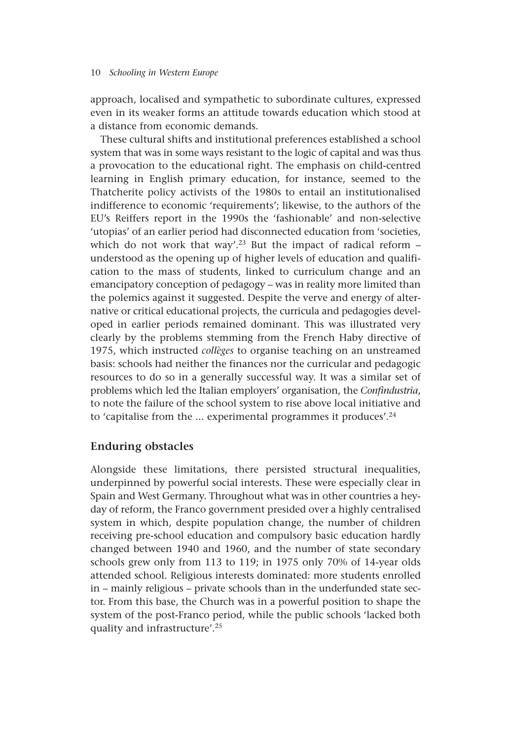approach, localised and sympathetic to subordinate cultures, expressed even in its weaker forms an attitude towards education which stood at a distance from economic demands.

These cultural shifts and institutional preferences established a school system that was in some ways resistant to the logic of capital and was thus a provocation to the educational right. The emphasis on child-centred learning in English primary education, for instance, seemed to the Thatcherite policy activists of the 1980s to entail an institutionalised indifference to economic 'requirements'; likewise, to the authors of the EU's Reiffers report in the 1990s the 'fashionable' and non-selective 'utopias' of an earlier period had disconnected education from 'societies, which do not work that way'.<sup>23</sup> But the impact of radical reform  $$ understood as the opening up of higher levels of education and qualification to the mass of students, linked to curriculum change and an emancipatory conception of pedagogy – was in reality more limited than the polemics against it suggested. Despite the verve and energy of alternative or critical educational projects, the curricula and pedagogies developed in earlier periods remained dominant. This was illustrated very clearly by the problems stemming from the French Haby directive of 1975, which instructed *collèges* to organise teaching on an unstreamed basis: schools had neither the finances nor the curricular and pedagogic resources to do so in a generally successful way. It was a similar set of problems which led the Italian employers' organisation, the *Confindustria*, to note the failure of the school system to rise above local initiative and to 'capitalise from the ... experimental programmes it produces'.<sup>24</sup>

## **Enduring obstacles**

Alongside these limitations, there persisted structural inequalities, underpinned by powerful social interests. These were especially clear in Spain and West Germany. Throughout what was in other countries a heyday of reform, the Franco government presided over a highly centralised system in which, despite population change, the number of children receiving pre-school education and compulsory basic education hardly changed between 1940 and 1960, and the number of state secondary schools grew only from 113 to 119; in 1975 only 70% of 14-year olds attended school. Religious interests dominated: more students enrolled in – mainly religious – private schools than in the underfunded state sector. From this base, the Church was in a powerful position to shape the system of the post-Franco period, while the public schools 'lacked both quality and infrastructure'.25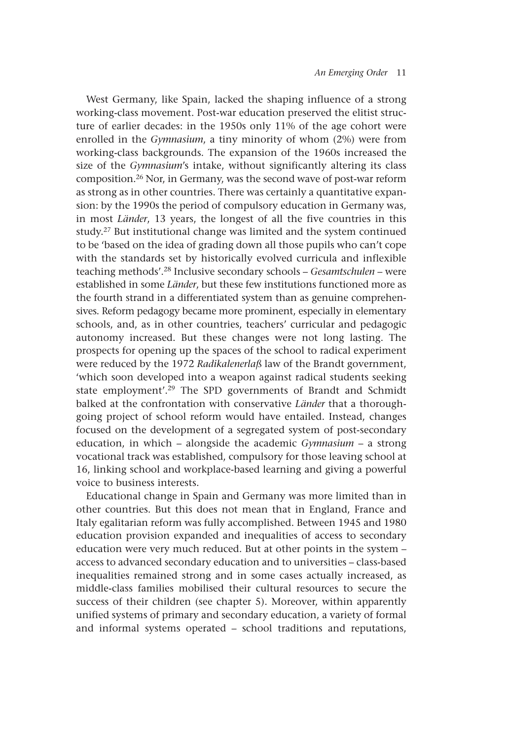West Germany, like Spain, lacked the shaping influence of a strong working-class movement. Post-war education preserved the elitist structure of earlier decades: in the 1950s only 11% of the age cohort were enrolled in the *Gymnasium*, a tiny minority of whom (2%) were from working-class backgrounds. The expansion of the 1960s increased the size of the *Gymnasium*'s intake, without significantly altering its class composition.26 Nor, in Germany, was the second wave of post-war reform as strong as in other countries. There was certainly a quantitative expansion: by the 1990s the period of compulsory education in Germany was, in most *Länder*, 13 years, the longest of all the five countries in this study.27 But institutional change was limited and the system continued to be 'based on the idea of grading down all those pupils who can't cope with the standards set by historically evolved curricula and inflexible teaching methods'.28 Inclusive secondary schools – *Gesamtschulen* – were established in some *Länder*, but these few institutions functioned more as the fourth strand in a differentiated system than as genuine comprehensives. Reform pedagogy became more prominent, especially in elementary schools, and, as in other countries, teachers' curricular and pedagogic autonomy increased. But these changes were not long lasting. The prospects for opening up the spaces of the school to radical experiment were reduced by the 1972 *Radikalenerlaß* law of the Brandt government, 'which soon developed into a weapon against radical students seeking state employment'.<sup>29</sup> The SPD governments of Brandt and Schmidt balked at the confrontation with conservative *Länder* that a thoroughgoing project of school reform would have entailed. Instead, changes focused on the development of a segregated system of post-secondary education, in which – alongside the academic *Gymnasium* – a strong vocational track was established, compulsory for those leaving school at 16, linking school and workplace-based learning and giving a powerful voice to business interests.

Educational change in Spain and Germany was more limited than in other countries. But this does not mean that in England, France and Italy egalitarian reform was fully accomplished. Between 1945 and 1980 education provision expanded and inequalities of access to secondary education were very much reduced. But at other points in the system – access to advanced secondary education and to universities – class-based inequalities remained strong and in some cases actually increased, as middle-class families mobilised their cultural resources to secure the success of their children (see chapter 5). Moreover, within apparently unified systems of primary and secondary education, a variety of formal and informal systems operated – school traditions and reputations,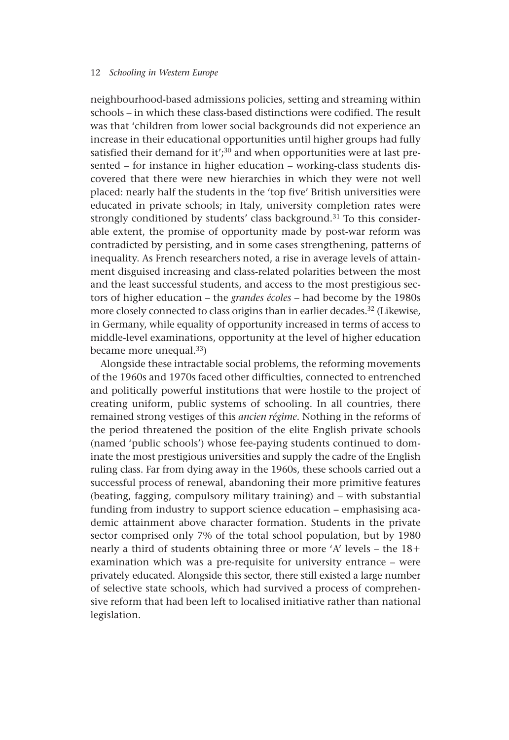neighbourhood-based admissions policies, setting and streaming within schools – in which these class-based distinctions were codified. The result was that 'children from lower social backgrounds did not experience an increase in their educational opportunities until higher groups had fully satisfied their demand for it';<sup>30</sup> and when opportunities were at last presented – for instance in higher education – working-class students discovered that there were new hierarchies in which they were not well placed: nearly half the students in the 'top five' British universities were educated in private schools; in Italy, university completion rates were strongly conditioned by students' class background.<sup>31</sup> To this considerable extent, the promise of opportunity made by post-war reform was contradicted by persisting, and in some cases strengthening, patterns of inequality. As French researchers noted, a rise in average levels of attainment disguised increasing and class-related polarities between the most and the least successful students, and access to the most prestigious sectors of higher education – the *grandes écoles* – had become by the 1980s more closely connected to class origins than in earlier decades.<sup>32</sup> (Likewise, in Germany, while equality of opportunity increased in terms of access to middle-level examinations, opportunity at the level of higher education became more unequal.<sup>33</sup>)

Alongside these intractable social problems, the reforming movements of the 1960s and 1970s faced other difficulties, connected to entrenched and politically powerful institutions that were hostile to the project of creating uniform, public systems of schooling. In all countries, there remained strong vestiges of this *ancien régime.* Nothing in the reforms of the period threatened the position of the elite English private schools (named 'public schools') whose fee-paying students continued to dominate the most prestigious universities and supply the cadre of the English ruling class. Far from dying away in the 1960s, these schools carried out a successful process of renewal, abandoning their more primitive features (beating, fagging, compulsory military training) and – with substantial funding from industry to support science education – emphasising academic attainment above character formation. Students in the private sector comprised only 7% of the total school population, but by 1980 nearly a third of students obtaining three or more 'A' levels – the 18 examination which was a pre-requisite for university entrance – were privately educated. Alongside this sector, there still existed a large number of selective state schools, which had survived a process of comprehensive reform that had been left to localised initiative rather than national legislation.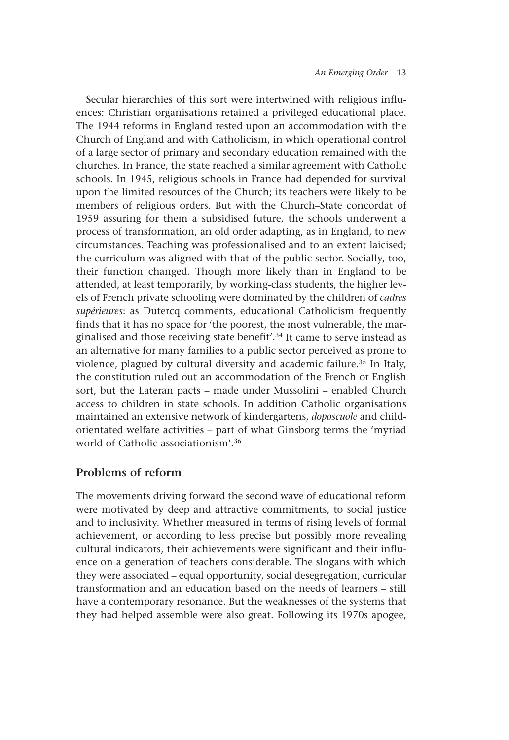Secular hierarchies of this sort were intertwined with religious influences: Christian organisations retained a privileged educational place. The 1944 reforms in England rested upon an accommodation with the Church of England and with Catholicism, in which operational control of a large sector of primary and secondary education remained with the churches. In France, the state reached a similar agreement with Catholic schools. In 1945, religious schools in France had depended for survival upon the limited resources of the Church; its teachers were likely to be members of religious orders. But with the Church–State concordat of 1959 assuring for them a subsidised future, the schools underwent a process of transformation, an old order adapting, as in England, to new circumstances. Teaching was professionalised and to an extent laicised; the curriculum was aligned with that of the public sector. Socially, too, their function changed. Though more likely than in England to be attended, at least temporarily, by working-class students, the higher levels of French private schooling were dominated by the children of *cadres supérieures*: as Dutercq comments, educational Catholicism frequently finds that it has no space for 'the poorest, the most vulnerable, the marginalised and those receiving state benefit'.34 It came to serve instead as an alternative for many families to a public sector perceived as prone to violence, plagued by cultural diversity and academic failure.<sup>35</sup> In Italy, the constitution ruled out an accommodation of the French or English sort, but the Lateran pacts – made under Mussolini – enabled Church access to children in state schools. In addition Catholic organisations maintained an extensive network of kindergartens, *doposcuole* and childorientated welfare activities – part of what Ginsborg terms the 'myriad world of Catholic associationism<sup>'36</sup>

## **Problems of reform**

The movements driving forward the second wave of educational reform were motivated by deep and attractive commitments, to social justice and to inclusivity. Whether measured in terms of rising levels of formal achievement, or according to less precise but possibly more revealing cultural indicators, their achievements were significant and their influence on a generation of teachers considerable. The slogans with which they were associated – equal opportunity, social desegregation, curricular transformation and an education based on the needs of learners – still have a contemporary resonance. But the weaknesses of the systems that they had helped assemble were also great. Following its 1970s apogee,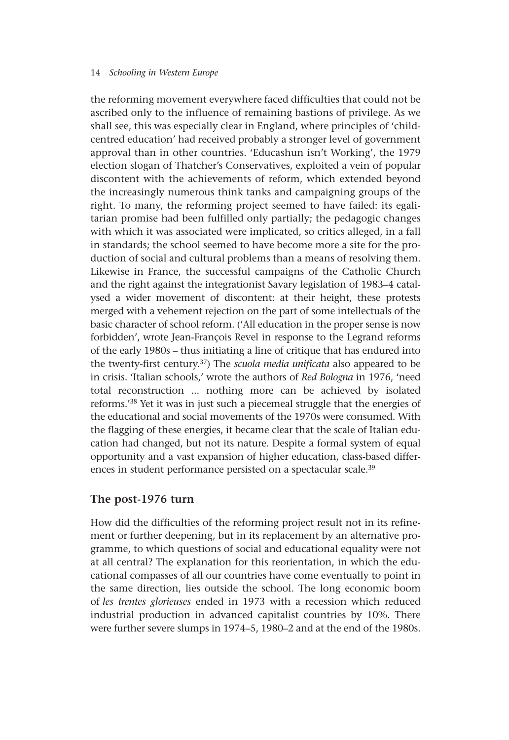the reforming movement everywhere faced difficulties that could not be ascribed only to the influence of remaining bastions of privilege. As we shall see, this was especially clear in England, where principles of 'childcentred education' had received probably a stronger level of government approval than in other countries. 'Educashun isn't Working', the 1979 election slogan of Thatcher's Conservatives, exploited a vein of popular discontent with the achievements of reform, which extended beyond the increasingly numerous think tanks and campaigning groups of the right. To many, the reforming project seemed to have failed: its egalitarian promise had been fulfilled only partially; the pedagogic changes with which it was associated were implicated, so critics alleged, in a fall in standards; the school seemed to have become more a site for the production of social and cultural problems than a means of resolving them. Likewise in France, the successful campaigns of the Catholic Church and the right against the integrationist Savary legislation of 1983–4 catalysed a wider movement of discontent: at their height, these protests merged with a vehement rejection on the part of some intellectuals of the basic character of school reform. ('All education in the proper sense is now forbidden', wrote Jean-François Revel in response to the Legrand reforms of the early 1980s – thus initiating a line of critique that has endured into the twenty-first century.37) The *scuola media unificata* also appeared to be in crisis. 'Italian schools,' wrote the authors of *Red Bologna* in 1976, 'need total reconstruction ... nothing more can be achieved by isolated reforms.'38 Yet it was in just such a piecemeal struggle that the energies of the educational and social movements of the 1970s were consumed. With the flagging of these energies, it became clear that the scale of Italian education had changed, but not its nature. Despite a formal system of equal opportunity and a vast expansion of higher education, class-based differences in student performance persisted on a spectacular scale.<sup>39</sup>

# **The post-1976 turn**

How did the difficulties of the reforming project result not in its refinement or further deepening, but in its replacement by an alternative programme, to which questions of social and educational equality were not at all central? The explanation for this reorientation, in which the educational compasses of all our countries have come eventually to point in the same direction, lies outside the school. The long economic boom of *les trentes glorieuses* ended in 1973 with a recession which reduced industrial production in advanced capitalist countries by 10%. There were further severe slumps in 1974–5, 1980–2 and at the end of the 1980s.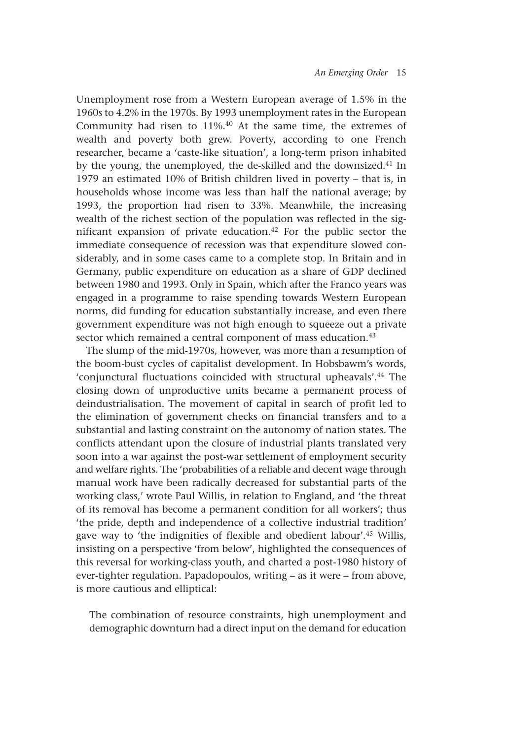Unemployment rose from a Western European average of 1.5% in the 1960s to 4.2% in the 1970s. By 1993 unemployment rates in the European Community had risen to 11%.40 At the same time, the extremes of wealth and poverty both grew. Poverty, according to one French researcher, became a 'caste-like situation', a long-term prison inhabited by the young, the unemployed, the de-skilled and the downsized.<sup>41</sup> In 1979 an estimated 10% of British children lived in poverty – that is, in households whose income was less than half the national average; by 1993, the proportion had risen to 33%. Meanwhile, the increasing wealth of the richest section of the population was reflected in the significant expansion of private education.42 For the public sector the immediate consequence of recession was that expenditure slowed considerably, and in some cases came to a complete stop. In Britain and in Germany, public expenditure on education as a share of GDP declined between 1980 and 1993. Only in Spain, which after the Franco years was engaged in a programme to raise spending towards Western European norms, did funding for education substantially increase, and even there government expenditure was not high enough to squeeze out a private sector which remained a central component of mass education.<sup>43</sup>

The slump of the mid-1970s, however, was more than a resumption of the boom-bust cycles of capitalist development. In Hobsbawm's words, 'conjunctural fluctuations coincided with structural upheavals'.44 The closing down of unproductive units became a permanent process of deindustrialisation. The movement of capital in search of profit led to the elimination of government checks on financial transfers and to a substantial and lasting constraint on the autonomy of nation states. The conflicts attendant upon the closure of industrial plants translated very soon into a war against the post-war settlement of employment security and welfare rights. The 'probabilities of a reliable and decent wage through manual work have been radically decreased for substantial parts of the working class,' wrote Paul Willis, in relation to England, and 'the threat of its removal has become a permanent condition for all workers'; thus 'the pride, depth and independence of a collective industrial tradition' gave way to 'the indignities of flexible and obedient labour'.45 Willis, insisting on a perspective 'from below', highlighted the consequences of this reversal for working-class youth, and charted a post-1980 history of ever-tighter regulation. Papadopoulos, writing – as it were – from above, is more cautious and elliptical:

The combination of resource constraints, high unemployment and demographic downturn had a direct input on the demand for education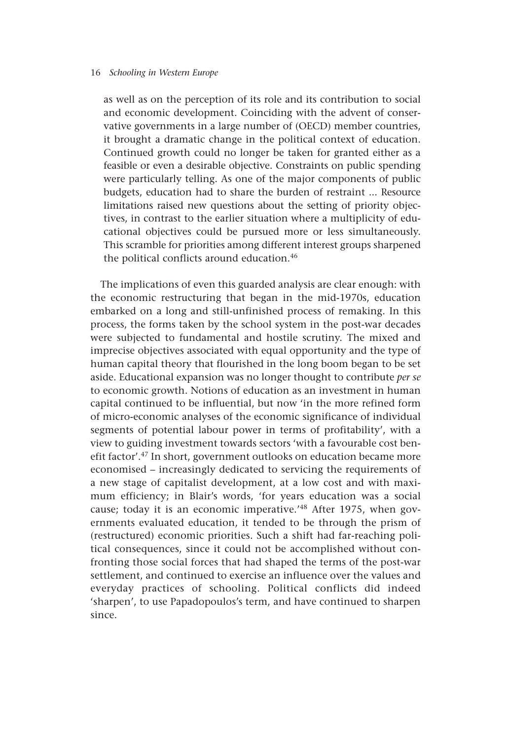as well as on the perception of its role and its contribution to social and economic development. Coinciding with the advent of conservative governments in a large number of (OECD) member countries, it brought a dramatic change in the political context of education. Continued growth could no longer be taken for granted either as a feasible or even a desirable objective. Constraints on public spending were particularly telling. As one of the major components of public budgets, education had to share the burden of restraint ... Resource limitations raised new questions about the setting of priority objectives, in contrast to the earlier situation where a multiplicity of educational objectives could be pursued more or less simultaneously. This scramble for priorities among different interest groups sharpened the political conflicts around education.<sup>46</sup>

The implications of even this guarded analysis are clear enough: with the economic restructuring that began in the mid-1970s, education embarked on a long and still-unfinished process of remaking. In this process, the forms taken by the school system in the post-war decades were subjected to fundamental and hostile scrutiny. The mixed and imprecise objectives associated with equal opportunity and the type of human capital theory that flourished in the long boom began to be set aside. Educational expansion was no longer thought to contribute *per se* to economic growth. Notions of education as an investment in human capital continued to be influential, but now 'in the more refined form of micro-economic analyses of the economic significance of individual segments of potential labour power in terms of profitability', with a view to guiding investment towards sectors 'with a favourable cost benefit factor'.47 In short, government outlooks on education became more economised – increasingly dedicated to servicing the requirements of a new stage of capitalist development, at a low cost and with maximum efficiency; in Blair's words, 'for years education was a social cause; today it is an economic imperative.'48 After 1975, when governments evaluated education, it tended to be through the prism of (restructured) economic priorities. Such a shift had far-reaching political consequences, since it could not be accomplished without confronting those social forces that had shaped the terms of the post-war settlement, and continued to exercise an influence over the values and everyday practices of schooling. Political conflicts did indeed 'sharpen', to use Papadopoulos's term, and have continued to sharpen since.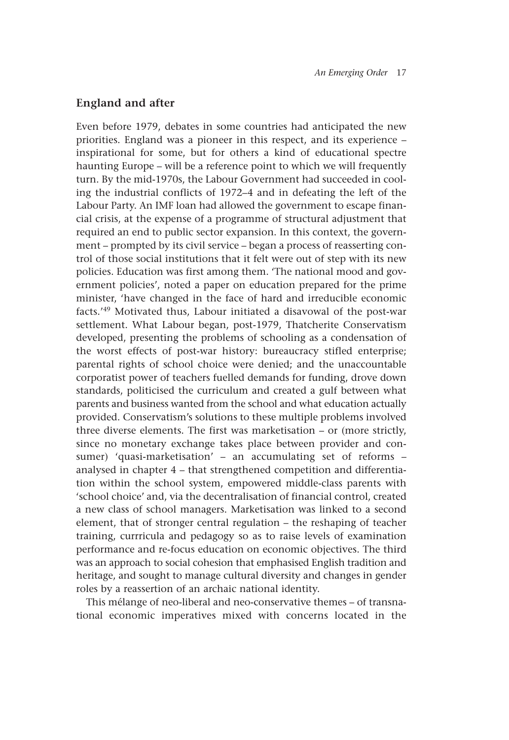#### **England and after**

Even before 1979, debates in some countries had anticipated the new priorities. England was a pioneer in this respect, and its experience – inspirational for some, but for others a kind of educational spectre haunting Europe – will be a reference point to which we will frequently turn. By the mid-1970s, the Labour Government had succeeded in cooling the industrial conflicts of 1972–4 and in defeating the left of the Labour Party. An IMF loan had allowed the government to escape financial crisis, at the expense of a programme of structural adjustment that required an end to public sector expansion. In this context, the government – prompted by its civil service – began a process of reasserting control of those social institutions that it felt were out of step with its new policies. Education was first among them. 'The national mood and government policies', noted a paper on education prepared for the prime minister, 'have changed in the face of hard and irreducible economic facts.'49 Motivated thus, Labour initiated a disavowal of the post-war settlement. What Labour began, post-1979, Thatcherite Conservatism developed, presenting the problems of schooling as a condensation of the worst effects of post-war history: bureaucracy stifled enterprise; parental rights of school choice were denied; and the unaccountable corporatist power of teachers fuelled demands for funding, drove down standards, politicised the curriculum and created a gulf between what parents and business wanted from the school and what education actually provided. Conservatism's solutions to these multiple problems involved three diverse elements. The first was marketisation – or (more strictly, since no monetary exchange takes place between provider and consumer) 'quasi-marketisation' – an accumulating set of reforms – analysed in chapter 4 – that strengthened competition and differentiation within the school system, empowered middle-class parents with 'school choice' and, via the decentralisation of financial control, created a new class of school managers. Marketisation was linked to a second element, that of stronger central regulation – the reshaping of teacher training, currricula and pedagogy so as to raise levels of examination performance and re-focus education on economic objectives. The third was an approach to social cohesion that emphasised English tradition and heritage, and sought to manage cultural diversity and changes in gender roles by a reassertion of an archaic national identity.

This mélange of neo-liberal and neo-conservative themes – of transnational economic imperatives mixed with concerns located in the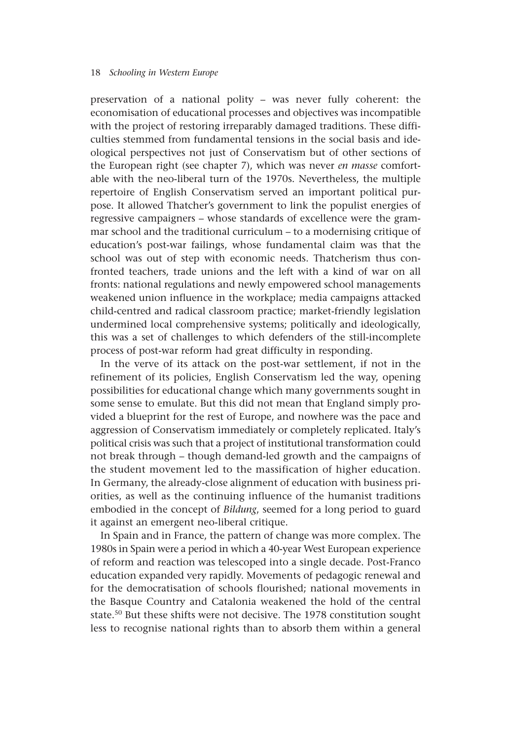preservation of a national polity – was never fully coherent: the economisation of educational processes and objectives was incompatible with the project of restoring irreparably damaged traditions. These difficulties stemmed from fundamental tensions in the social basis and ideological perspectives not just of Conservatism but of other sections of the European right (see chapter 7), which was never *en masse* comfortable with the neo-liberal turn of the 1970s. Nevertheless, the multiple repertoire of English Conservatism served an important political purpose. It allowed Thatcher's government to link the populist energies of regressive campaigners – whose standards of excellence were the grammar school and the traditional curriculum – to a modernising critique of education's post-war failings, whose fundamental claim was that the school was out of step with economic needs. Thatcherism thus confronted teachers, trade unions and the left with a kind of war on all fronts: national regulations and newly empowered school managements weakened union influence in the workplace; media campaigns attacked child-centred and radical classroom practice; market-friendly legislation undermined local comprehensive systems; politically and ideologically, this was a set of challenges to which defenders of the still-incomplete process of post-war reform had great difficulty in responding.

In the verve of its attack on the post-war settlement, if not in the refinement of its policies, English Conservatism led the way, opening possibilities for educational change which many governments sought in some sense to emulate. But this did not mean that England simply provided a blueprint for the rest of Europe, and nowhere was the pace and aggression of Conservatism immediately or completely replicated. Italy's political crisis was such that a project of institutional transformation could not break through – though demand-led growth and the campaigns of the student movement led to the massification of higher education. In Germany, the already-close alignment of education with business priorities, as well as the continuing influence of the humanist traditions embodied in the concept of *Bildung*, seemed for a long period to guard it against an emergent neo-liberal critique.

In Spain and in France, the pattern of change was more complex. The 1980s in Spain were a period in which a 40-year West European experience of reform and reaction was telescoped into a single decade. Post-Franco education expanded very rapidly. Movements of pedagogic renewal and for the democratisation of schools flourished; national movements in the Basque Country and Catalonia weakened the hold of the central state.50 But these shifts were not decisive. The 1978 constitution sought less to recognise national rights than to absorb them within a general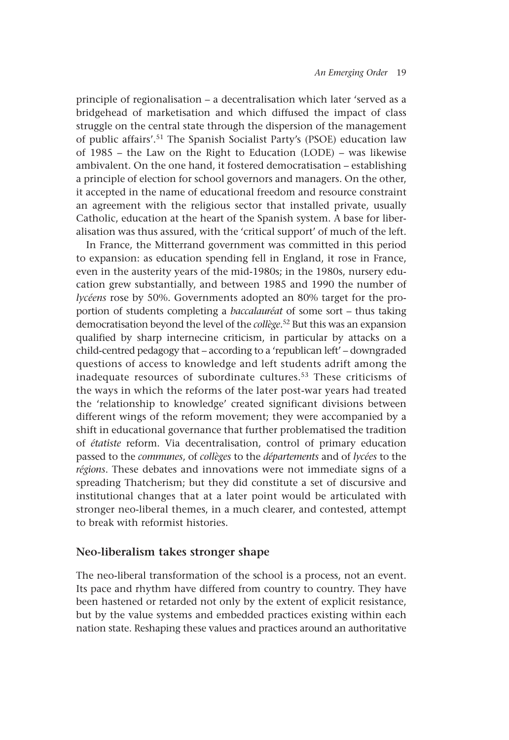principle of regionalisation – a decentralisation which later 'served as a bridgehead of marketisation and which diffused the impact of class struggle on the central state through the dispersion of the management of public affairs'.51 The Spanish Socialist Party's (PSOE) education law of 1985 – the Law on the Right to Education (LODE) – was likewise ambivalent. On the one hand, it fostered democratisation – establishing a principle of election for school governors and managers. On the other, it accepted in the name of educational freedom and resource constraint an agreement with the religious sector that installed private, usually Catholic, education at the heart of the Spanish system. A base for liberalisation was thus assured, with the 'critical support' of much of the left.

In France, the Mitterrand government was committed in this period to expansion: as education spending fell in England, it rose in France, even in the austerity years of the mid-1980s; in the 1980s, nursery education grew substantially, and between 1985 and 1990 the number of *lycéens* rose by 50%. Governments adopted an 80% target for the proportion of students completing a *baccalauréat* of some sort – thus taking democratisation beyond the level of the *collège*. <sup>52</sup> But this was an expansion qualified by sharp internecine criticism, in particular by attacks on a child-centred pedagogy that – according to a 'republican left' – downgraded questions of access to knowledge and left students adrift among the inadequate resources of subordinate cultures.53 These criticisms of the ways in which the reforms of the later post-war years had treated the 'relationship to knowledge' created significant divisions between different wings of the reform movement; they were accompanied by a shift in educational governance that further problematised the tradition of *étatiste* reform. Via decentralisation, control of primary education passed to the *communes*, of *collèges* to the *départements* and of *lycées* to the *régions*. These debates and innovations were not immediate signs of a spreading Thatcherism; but they did constitute a set of discursive and institutional changes that at a later point would be articulated with stronger neo-liberal themes, in a much clearer, and contested, attempt to break with reformist histories.

## **Neo-liberalism takes stronger shape**

The neo-liberal transformation of the school is a process, not an event. Its pace and rhythm have differed from country to country. They have been hastened or retarded not only by the extent of explicit resistance, but by the value systems and embedded practices existing within each nation state. Reshaping these values and practices around an authoritative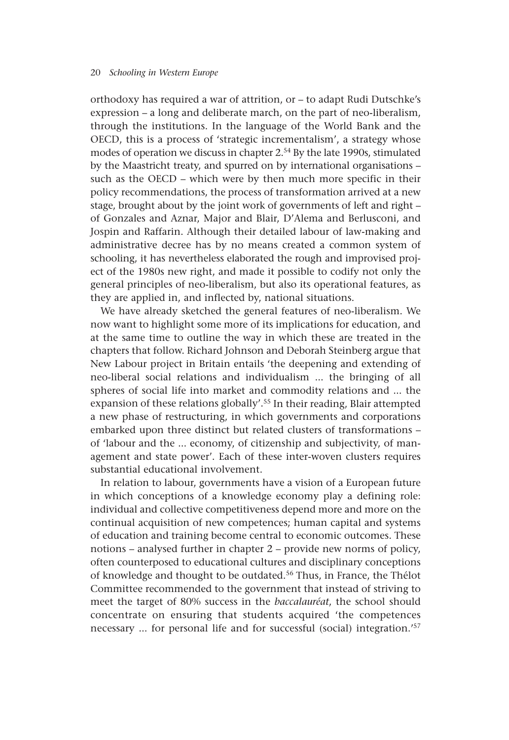orthodoxy has required a war of attrition, or – to adapt Rudi Dutschke's expression – a long and deliberate march, on the part of neo-liberalism, through the institutions. In the language of the World Bank and the OECD, this is a process of 'strategic incrementalism', a strategy whose modes of operation we discuss in chapter 2.54 By the late 1990s, stimulated by the Maastricht treaty, and spurred on by international organisations – such as the OECD – which were by then much more specific in their policy recommendations, the process of transformation arrived at a new stage, brought about by the joint work of governments of left and right – of Gonzales and Aznar, Major and Blair, D'Alema and Berlusconi, and Jospin and Raffarin. Although their detailed labour of law-making and administrative decree has by no means created a common system of schooling, it has nevertheless elaborated the rough and improvised project of the 1980s new right, and made it possible to codify not only the general principles of neo-liberalism, but also its operational features, as they are applied in, and inflected by, national situations.

We have already sketched the general features of neo-liberalism. We now want to highlight some more of its implications for education, and at the same time to outline the way in which these are treated in the chapters that follow. Richard Johnson and Deborah Steinberg argue that New Labour project in Britain entails 'the deepening and extending of neo-liberal social relations and individualism ... the bringing of all spheres of social life into market and commodity relations and ... the expansion of these relations globally'.55 In their reading, Blair attempted a new phase of restructuring, in which governments and corporations embarked upon three distinct but related clusters of transformations – of 'labour and the ... economy, of citizenship and subjectivity, of management and state power'. Each of these inter-woven clusters requires substantial educational involvement.

In relation to labour, governments have a vision of a European future in which conceptions of a knowledge economy play a defining role: individual and collective competitiveness depend more and more on the continual acquisition of new competences; human capital and systems of education and training become central to economic outcomes. These notions – analysed further in chapter 2 – provide new norms of policy, often counterposed to educational cultures and disciplinary conceptions of knowledge and thought to be outdated.56 Thus, in France, the Thélot Committee recommended to the government that instead of striving to meet the target of 80% success in the *baccalauréat*, the school should concentrate on ensuring that students acquired 'the competences necessary ... for personal life and for successful (social) integration.'57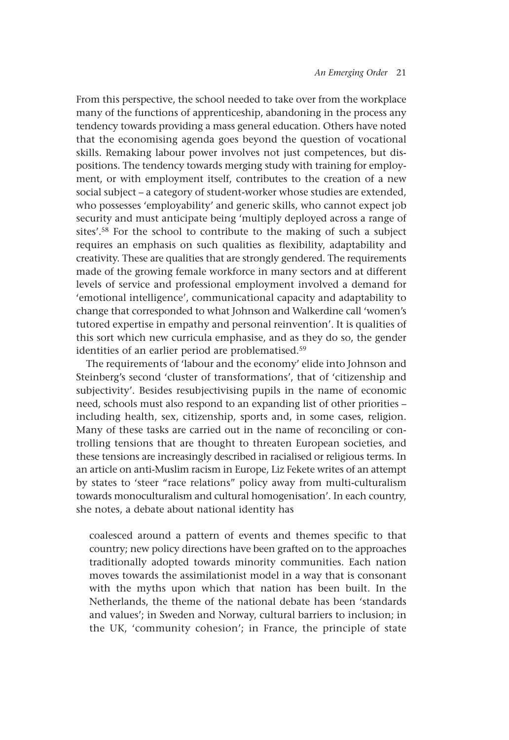From this perspective, the school needed to take over from the workplace many of the functions of apprenticeship, abandoning in the process any tendency towards providing a mass general education. Others have noted that the economising agenda goes beyond the question of vocational skills. Remaking labour power involves not just competences, but dispositions. The tendency towards merging study with training for employment, or with employment itself, contributes to the creation of a new social subject – a category of student-worker whose studies are extended, who possesses 'employability' and generic skills, who cannot expect job security and must anticipate being 'multiply deployed across a range of sites'.58 For the school to contribute to the making of such a subject requires an emphasis on such qualities as flexibility, adaptability and creativity. These are qualities that are strongly gendered. The requirements made of the growing female workforce in many sectors and at different levels of service and professional employment involved a demand for 'emotional intelligence', communicational capacity and adaptability to change that corresponded to what Johnson and Walkerdine call 'women's tutored expertise in empathy and personal reinvention'. It is qualities of this sort which new curricula emphasise, and as they do so, the gender identities of an earlier period are problematised.<sup>59</sup>

The requirements of 'labour and the economy' elide into Johnson and Steinberg's second 'cluster of transformations', that of 'citizenship and subjectivity'. Besides resubjectivising pupils in the name of economic need, schools must also respond to an expanding list of other priorities – including health, sex, citizenship, sports and, in some cases, religion. Many of these tasks are carried out in the name of reconciling or controlling tensions that are thought to threaten European societies, and these tensions are increasingly described in racialised or religious terms. In an article on anti-Muslim racism in Europe, Liz Fekete writes of an attempt by states to 'steer "race relations" policy away from multi-culturalism towards monoculturalism and cultural homogenisation'. In each country, she notes, a debate about national identity has

coalesced around a pattern of events and themes specific to that country; new policy directions have been grafted on to the approaches traditionally adopted towards minority communities. Each nation moves towards the assimilationist model in a way that is consonant with the myths upon which that nation has been built. In the Netherlands, the theme of the national debate has been 'standards and values'; in Sweden and Norway, cultural barriers to inclusion; in the UK, 'community cohesion'; in France, the principle of state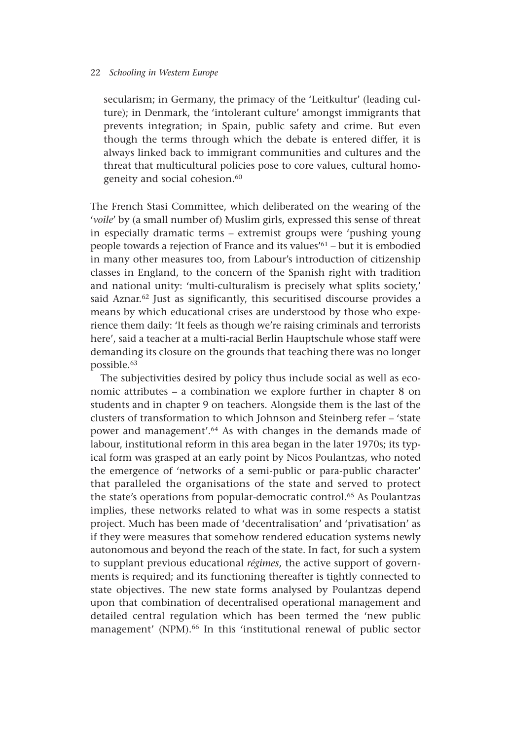secularism; in Germany, the primacy of the 'Leitkultur' (leading culture); in Denmark, the 'intolerant culture' amongst immigrants that prevents integration; in Spain, public safety and crime. But even though the terms through which the debate is entered differ, it is always linked back to immigrant communities and cultures and the threat that multicultural policies pose to core values, cultural homogeneity and social cohesion.<sup>60</sup>

The French Stasi Committee, which deliberated on the wearing of the '*voile*' by (a small number of) Muslim girls, expressed this sense of threat in especially dramatic terms – extremist groups were 'pushing young people towards a rejection of France and its values'61 – but it is embodied in many other measures too, from Labour's introduction of citizenship classes in England, to the concern of the Spanish right with tradition and national unity: 'multi-culturalism is precisely what splits society,' said Aznar.<sup>62</sup> Just as significantly, this securitised discourse provides a means by which educational crises are understood by those who experience them daily: 'It feels as though we're raising criminals and terrorists here', said a teacher at a multi-racial Berlin Hauptschule whose staff were demanding its closure on the grounds that teaching there was no longer possible.63

The subjectivities desired by policy thus include social as well as economic attributes – a combination we explore further in chapter 8 on students and in chapter 9 on teachers. Alongside them is the last of the clusters of transformation to which Johnson and Steinberg refer – 'state power and management'.64 As with changes in the demands made of labour, institutional reform in this area began in the later 1970s; its typical form was grasped at an early point by Nicos Poulantzas, who noted the emergence of 'networks of a semi-public or para-public character' that paralleled the organisations of the state and served to protect the state's operations from popular-democratic control.65 As Poulantzas implies, these networks related to what was in some respects a statist project. Much has been made of 'decentralisation' and 'privatisation' as if they were measures that somehow rendered education systems newly autonomous and beyond the reach of the state. In fact, for such a system to supplant previous educational *régimes*, the active support of governments is required; and its functioning thereafter is tightly connected to state objectives. The new state forms analysed by Poulantzas depend upon that combination of decentralised operational management and detailed central regulation which has been termed the 'new public management' (NPM).<sup>66</sup> In this 'institutional renewal of public sector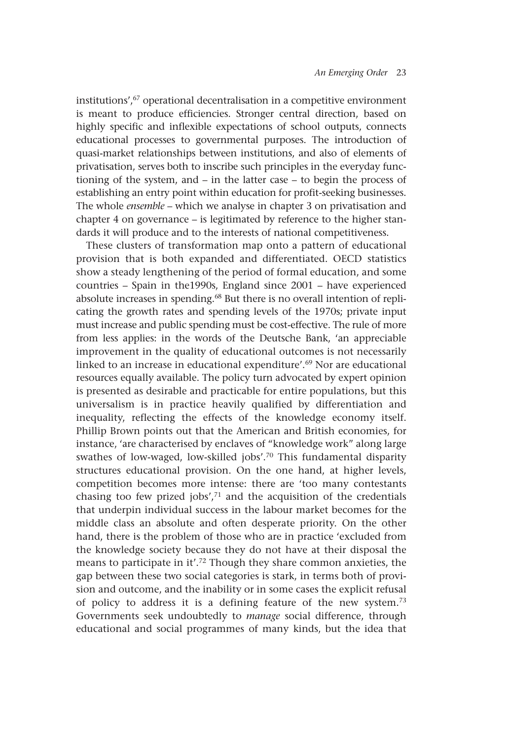institutions',<sup>67</sup> operational decentralisation in a competitive environment is meant to produce efficiencies. Stronger central direction, based on highly specific and inflexible expectations of school outputs, connects educational processes to governmental purposes. The introduction of quasi-market relationships between institutions, and also of elements of privatisation, serves both to inscribe such principles in the everyday functioning of the system, and – in the latter case – to begin the process of establishing an entry point within education for profit-seeking businesses. The whole *ensemble* – which we analyse in chapter 3 on privatisation and chapter 4 on governance – is legitimated by reference to the higher standards it will produce and to the interests of national competitiveness.

These clusters of transformation map onto a pattern of educational provision that is both expanded and differentiated. OECD statistics show a steady lengthening of the period of formal education, and some countries – Spain in the1990s, England since 2001 – have experienced absolute increases in spending.68 But there is no overall intention of replicating the growth rates and spending levels of the 1970s; private input must increase and public spending must be cost-effective. The rule of more from less applies: in the words of the Deutsche Bank, 'an appreciable improvement in the quality of educational outcomes is not necessarily linked to an increase in educational expenditure'.69 Nor are educational resources equally available. The policy turn advocated by expert opinion is presented as desirable and practicable for entire populations, but this universalism is in practice heavily qualified by differentiation and inequality, reflecting the effects of the knowledge economy itself. Phillip Brown points out that the American and British economies, for instance, 'are characterised by enclaves of "knowledge work" along large swathes of low-waged, low-skilled jobs'.70 This fundamental disparity structures educational provision. On the one hand, at higher levels, competition becomes more intense: there are 'too many contestants chasing too few prized jobs', $71$  and the acquisition of the credentials that underpin individual success in the labour market becomes for the middle class an absolute and often desperate priority. On the other hand, there is the problem of those who are in practice 'excluded from the knowledge society because they do not have at their disposal the means to participate in it'.72 Though they share common anxieties, the gap between these two social categories is stark, in terms both of provision and outcome, and the inability or in some cases the explicit refusal of policy to address it is a defining feature of the new system.73 Governments seek undoubtedly to *manage* social difference, through educational and social programmes of many kinds, but the idea that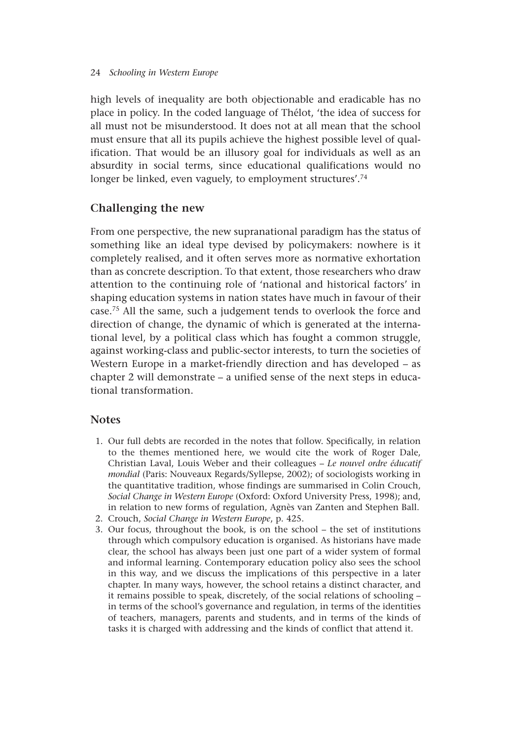high levels of inequality are both objectionable and eradicable has no place in policy. In the coded language of Thélot, 'the idea of success for all must not be misunderstood. It does not at all mean that the school must ensure that all its pupils achieve the highest possible level of qualification. That would be an illusory goal for individuals as well as an absurdity in social terms, since educational qualifications would no longer be linked, even vaguely, to employment structures'.<sup>74</sup>

# **Challenging the new**

From one perspective, the new supranational paradigm has the status of something like an ideal type devised by policymakers: nowhere is it completely realised, and it often serves more as normative exhortation than as concrete description. To that extent, those researchers who draw attention to the continuing role of 'national and historical factors' in shaping education systems in nation states have much in favour of their case.75 All the same, such a judgement tends to overlook the force and direction of change, the dynamic of which is generated at the international level, by a political class which has fought a common struggle, against working-class and public-sector interests, to turn the societies of Western Europe in a market-friendly direction and has developed – as chapter 2 will demonstrate – a unified sense of the next steps in educational transformation.

# **Notes**

- 1. Our full debts are recorded in the notes that follow. Specifically, in relation to the themes mentioned here, we would cite the work of Roger Dale, Christian Laval, Louis Weber and their colleagues – *Le nouvel ordre éducatif mondial* (Paris: Nouveaux Regards/Syllepse, 2002); of sociologists working in the quantitative tradition, whose findings are summarised in Colin Crouch, *Social Change in Western Europe* (Oxford: Oxford University Press, 1998); and, in relation to new forms of regulation, Agnès van Zanten and Stephen Ball.
- 2. Crouch, *Social Change in Western Europe*, p. 425.
- 3. Our focus, throughout the book, is on the school the set of institutions through which compulsory education is organised. As historians have made clear, the school has always been just one part of a wider system of formal and informal learning. Contemporary education policy also sees the school in this way, and we discuss the implications of this perspective in a later chapter. In many ways, however, the school retains a distinct character, and it remains possible to speak, discretely, of the social relations of schooling – in terms of the school's governance and regulation, in terms of the identities of teachers, managers, parents and students, and in terms of the kinds of tasks it is charged with addressing and the kinds of conflict that attend it.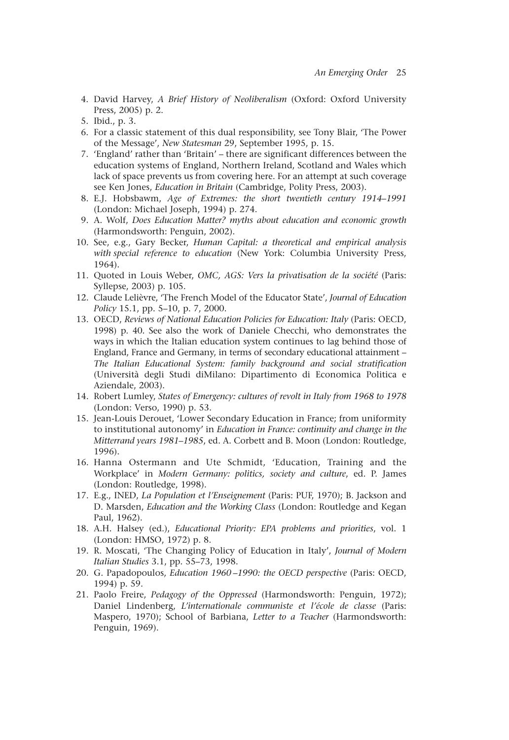- 4. David Harvey, *A Brief History of Neoliberalism* (Oxford: Oxford University Press, 2005) p. 2.
- 5. Ibid., p. 3.
- 6. For a classic statement of this dual responsibility, see Tony Blair, 'The Power of the Message', *New Statesman* 29, September 1995, p. 15.
- 7. 'England' rather than 'Britain' there are significant differences between the education systems of England, Northern Ireland, Scotland and Wales which lack of space prevents us from covering here. For an attempt at such coverage see Ken Jones, *Education in Britain* (Cambridge, Polity Press, 2003).
- 8. E.J. Hobsbawm, *Age of Extremes: the short twentieth century 1914–1991* (London: Michael Joseph, 1994) p. 274.
- 9. A. Wolf, *Does Education Matter? myths about education and economic growth* (Harmondsworth: Penguin, 2002).
- 10. See, e.g., Gary Becker, *Human Capital: a theoretical and empirical analysis with special reference to education* (New York: Columbia University Press, 1964).
- 11. Quoted in Louis Weber, *OMC, AGS: Vers la privatisation de la société* (Paris: Syllepse, 2003) p. 105.
- 12. Claude Lelièvre, 'The French Model of the Educator State', *Journal of Education Policy* 15.1, pp. 5–10, p. 7, 2000.
- 13. OECD, *Reviews of National Education Policies for Education: Italy* (Paris: OECD, 1998) p. 40*.* See also the work of Daniele Checchi, who demonstrates the ways in which the Italian education system continues to lag behind those of England, France and Germany, in terms of secondary educational attainment – *The Italian Educational System: family background and social stratification* (Università degli Studi diMilano: Dipartimento di Economica Politica e Aziendale, 2003).
- 14. Robert Lumley, *States of Emergency: cultures of revolt in Italy from 1968 to 1978* (London: Verso, 1990) p. 53.
- 15. Jean-Louis Derouet, 'Lower Secondary Education in France; from uniformity to institutional autonomy' in *Education in France: continuity and change in the Mitterrand years 1981–1985*, ed. A. Corbett and B. Moon (London: Routledge, 1996).
- 16. Hanna Ostermann and Ute Schmidt, 'Education, Training and the Workplace' in *Modern Germany: politics, society and culture*, ed. P. James (London: Routledge, 1998).
- 17. E.g., INED, *La Population et l'Enseignement* (Paris: PUF, 1970); B. Jackson and D. Marsden, *Education and the Working Class* (London: Routledge and Kegan Paul, 1962).
- 18. A.H. Halsey (ed.), *Educational Priority: EPA problems and priorities*, vol. 1 (London: HMSO, 1972) p. 8.
- 19. R. Moscati, 'The Changing Policy of Education in Italy', *Journal of Modern Italian Studies* 3.1, pp. 55–73, 1998.
- 20. G. Papadopoulos, *Education 1960 –1990: the OECD perspective* (Paris: OECD, 1994) p. 59.
- 21. Paolo Freire, *Pedagogy of the Oppressed* (Harmondsworth: Penguin, 1972); Daniel Lindenberg, *L'internationale communiste et l'école de classe* (Paris: Maspero, 1970); School of Barbiana, *Letter to a Teacher* (Harmondsworth: Penguin, 1969).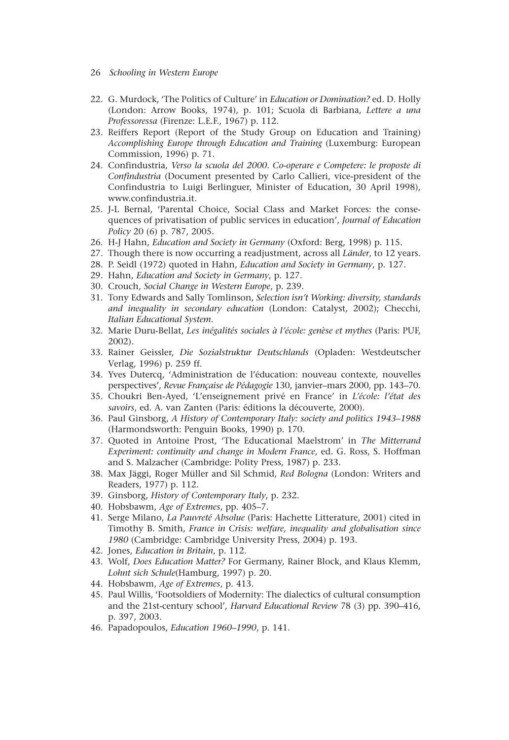- 22. G. Murdock, 'The Politics of Culture' in *Education or Domination?* ed. D. Holly (London: Arrow Books, 1974), p. 101; Scuola di Barbiana, *Lettere a una Professoressa* (Firenze: L.E.F., 1967) p. 112.
- 23. Reiffers Report (Report of the Study Group on Education and Training) *Accomplishing Europe through Education and Training* (Luxemburg: European Commission, 1996) p. 71.
- 24. Confindustria, *Verso la scuola del 2000. Co-operare e Competere: le proposte di Confindustria* (Document presented by Carlo Callieri, vice-president of the Confindustria to Luigi Berlinguer, Minister of Education, 30 April 1998), www.confindustria.it.
- 25. J-L Bernal, 'Parental Choice, Social Class and Market Forces: the consequences of privatisation of public services in education', *Journal of Education Policy* 20 (6) p. 787, 2005.
- 26. H-J Hahn, *Education and Society in Germany* (Oxford: Berg, 1998) p. 115.
- 27. Though there is now occurring a readjustment, across all *Länder*, to 12 years.
- 28. P. Seidl (1972) quoted in Hahn, *Education and Society in Germany*, p. 127.
- 29. Hahn, *Education and Society in Germany*, p. 127.
- 30. Crouch, *Social Change in Western Europe*, p. 239.
- 31. Tony Edwards and Sally Tomlinson, *Selection isn't Working: diversity, standards and inequality in secondary education* (London: Catalyst, 2002); Checchi, *Italian Educational System*.
- 32. Marie Duru-Bellat, *Les inégalités sociales à l'école: genèse et mythes* (Paris: PUF, 2002).
- 33. Rainer Geissler, *Die Sozialstruktur Deutschlands* (Opladen: Westdeutscher Verlag, 1996) p. 259 ff.
- 34. Yves Dutercq, 'Administration de l'éducation: nouveau contexte, nouvelles perspectives', *Revue Française de Pédagogie* 130, janvier–mars 2000, pp. 143–70.
- 35. Choukri Ben-Ayed, 'L'enseignement privé en France' in *L'école: l'état des savoirs*, ed. A. van Zanten (Paris: éditions la découverte, 2000).
- 36. Paul Ginsborg, *A History of Contemporary Italy: society and politics 1943–1988* (Harmondsworth: Penguin Books, 1990) p. 170.
- 37. Quoted in Antoine Prost, 'The Educational Maelstrom' in *The Mitterrand Experiment: continuity and change in Modern France*, ed. G. Ross, S. Hoffman and S. Malzacher (Cambridge: Polity Press, 1987) p. 233.
- 38. Max Jäggi, Roger Müller and Sil Schmid, *Red Bologna* (London: Writers and Readers, 1977) p. 112.
- 39. Ginsborg, *History of Contemporary Italy*, p. 232.
- 40. Hobsbawm, *Age of Extremes*, pp. 405–7.
- 41. Serge Milano, *La Pauvreté Absolue* (Paris: Hachette Litterature, 2001) cited in Timothy B. Smith, *France in Crisis: welfare, inequality and globalisation since 1980* (Cambridge: Cambridge University Press, 2004) p. 193.
- 42. Jones, *Education in Britain*, p. 112.
- 43. Wolf, *Does Education Matter?* For Germany, Rainer Block, and Klaus Klemm, *Lohnt sich Schule*(Hamburg, 1997) p. 20.
- 44. Hobsbawm, *Age of Extremes*, p. 413.
- 45. Paul Willis, 'Footsoldiers of Modernity: The dialectics of cultural consumption and the 21st-century school', *Harvard Educational Review* 78 (3) pp. 390–416, p. 397, 2003.
- 46. Papadopoulos, *Education 1960–1990*, p. 141.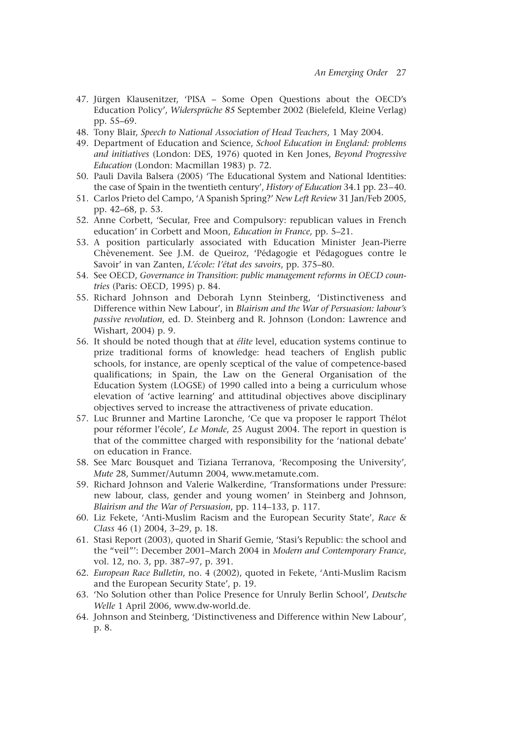- 47. Jürgen Klausenitzer, 'PISA Some Open Questions about the OECD's Education Policy', *Widersprüche 85* September 2002 (Bielefeld, Kleine Verlag) pp. 55–69.
- 48. Tony Blair, *Speech to National Association of Head Teachers*, 1 May 2004.
- 49. Department of Education and Science, *School Education in England: problems and initiatives* (London: DES, 1976) quoted in Ken Jones, *Beyond Progressive Education* (London: Macmillan 1983) p. 72.
- 50. Pauli Davila Balsera (2005) 'The Educational System and National Identities: the case of Spain in the twentieth century', *History of Education* 34.1 pp. 23–40.
- 51. Carlos Prieto del Campo, 'A Spanish Spring?' *New Left Review* 31 Jan/Feb 2005, pp. 42–68, p. 53.
- 52. Anne Corbett, 'Secular, Free and Compulsory: republican values in French education' in Corbett and Moon, *Education in France*, pp. 5–21.
- 53. A position particularly associated with Education Minister Jean-Pierre Chèvenement. See J.M. de Queiroz, 'Pédagogie et Pédagogues contre le Savoir' in van Zanten, *L'école: l'état des savoirs*, pp. 375–80.
- 54. See OECD, *Governance in Transition*: *public management reforms in OECD countries* (Paris: OECD, 1995) p. 84.
- 55. Richard Johnson and Deborah Lynn Steinberg, 'Distinctiveness and Difference within New Labour', in *Blairism and the War of Persuasion: labour's passive revolution*, ed. D. Steinberg and R. Johnson (London: Lawrence and Wishart, 2004) p. 9.
- 56. It should be noted though that at *élite* level, education systems continue to prize traditional forms of knowledge: head teachers of English public schools, for instance, are openly sceptical of the value of competence-based qualifications; in Spain, the Law on the General Organisation of the Education System (LOGSE) of 1990 called into a being a curriculum whose elevation of 'active learning' and attitudinal objectives above disciplinary objectives served to increase the attractiveness of private education.
- 57. Luc Brunner and Martine Laronche, 'Ce que va proposer le rapport Thélot pour réformer l'école', *Le Monde*, 25 August 2004. The report in question is that of the committee charged with responsibility for the 'national debate' on education in France.
- 58. See Marc Bousquet and Tiziana Terranova, 'Recomposing the University', *Mute* 28, Summer/Autumn 2004, www.metamute.com.
- 59. Richard Johnson and Valerie Walkerdine, 'Transformations under Pressure: new labour, class, gender and young women' in Steinberg and Johnson, *Blairism and the War of Persuasion*, pp. 114–133, p. 117.
- 60. Liz Fekete, 'Anti-Muslim Racism and the European Security State', *Race & Class* 46 (1) 2004, 3–29, p. 18.
- 61. Stasi Report (2003), quoted in Sharif Gemie, 'Stasi's Republic: the school and the "veil"': December 2001–March 2004 in *Modern and Contemporary France*, vol. 12, no. 3, pp. 387–97, p. 391.
- 62. *European Race Bulletin*, no. 4 (2002), quoted in Fekete, 'Anti-Muslim Racism and the European Security State', p. 19.
- 63. 'No Solution other than Police Presence for Unruly Berlin School', *Deutsche Welle* 1 April 2006, www.dw-world.de.
- 64. Johnson and Steinberg, 'Distinctiveness and Difference within New Labour', p. 8.